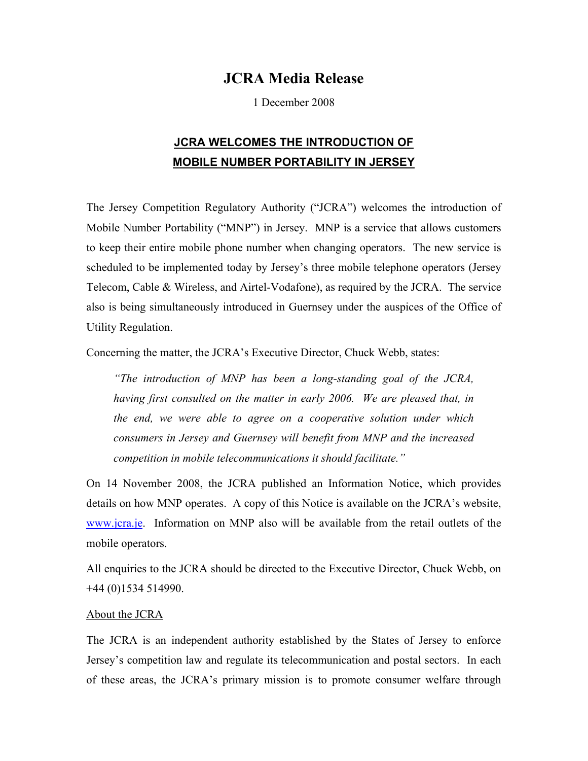## **JCRA Media Release**

1 December 2008

## **JCRA WELCOMES THE INTRODUCTION OF MOBILE NUMBER PORTABILITY IN JERSEY**

The Jersey Competition Regulatory Authority ("JCRA") welcomes the introduction of Mobile Number Portability ("MNP") in Jersey. MNP is a service that allows customers to keep their entire mobile phone number when changing operators. The new service is scheduled to be implemented today by Jersey's three mobile telephone operators (Jersey Telecom, Cable & Wireless, and Airtel-Vodafone), as required by the JCRA. The service also is being simultaneously introduced in Guernsey under the auspices of the Office of Utility Regulation.

Concerning the matter, the JCRA's Executive Director, Chuck Webb, states:

*"The introduction of MNP has been a long-standing goal of the JCRA, having first consulted on the matter in early 2006. We are pleased that, in the end, we were able to agree on a cooperative solution under which consumers in Jersey and Guernsey will benefit from MNP and the increased competition in mobile telecommunications it should facilitate."* 

On 14 November 2008, the JCRA published an Information Notice, which provides details on how MNP operates. A copy of this Notice is available on the JCRA's website, www.jcra.je. Information on MNP also will be available from the retail outlets of the mobile operators.

All enquiries to the JCRA should be directed to the Executive Director, Chuck Webb, on +44 (0)1534 514990.

## About the JCRA

The JCRA is an independent authority established by the States of Jersey to enforce Jersey's competition law and regulate its telecommunication and postal sectors. In each of these areas, the JCRA's primary mission is to promote consumer welfare through